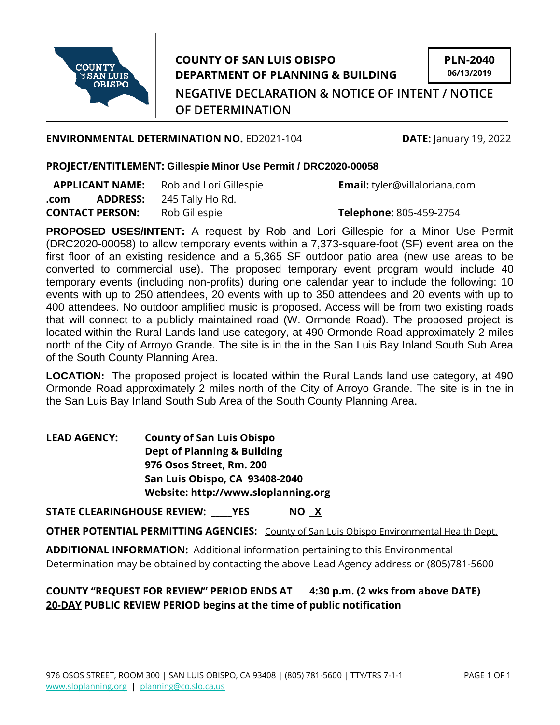

## **COUNTY OF SAN LUIS OBISPO DEPARTMENT OF PLANNING & BUILDING**

**PLN-2040 06/13/2019**

**NEGATIVE DECLARATION & NOTICE OF INTENT / NOTICE OF DETERMINATION**

**ENVIRONMENTAL DETERMINATION NO.** ED2021-104 **DATE:** January 19, 2022

## **PROJECT/ENTITLEMENT: Gillespie Minor Use Permit / DRC2020-00058**

| <b>APPLICANT NAME:</b> |                 | Rob and Lori Gillespie |
|------------------------|-----------------|------------------------|
| .com                   | <b>ADDRESS:</b> | 245 Tally Ho Rd.       |
| <b>CONTACT PERSON:</b> |                 | Rob Gillespie          |

**Email:** tyler@villaloriana.com

**CONTACT PERSON:** Rob Gillespie **Telephone:** 805-459-2754

**PROPOSED USES/INTENT:** A request by Rob and Lori Gillespie for a Minor Use Permit (DRC2020-00058) to allow temporary events within a 7,373-square-foot (SF) event area on the first floor of an existing residence and a 5,365 SF outdoor patio area (new use areas to be converted to commercial use). The proposed temporary event program would include 40 temporary events (including non-profits) during one calendar year to include the following: 10 events with up to 250 attendees, 20 events with up to 350 attendees and 20 events with up to 400 attendees. No outdoor amplified music is proposed. Access will be from two existing roads that will connect to a publicly maintained road (W. Ormonde Road). The proposed project is located within the Rural Lands land use category, at 490 Ormonde Road approximately 2 miles north of the City of Arroyo Grande. The site is in the in the San Luis Bay Inland South Sub Area of the South County Planning Area.

**LOCATION:** The proposed project is located within the Rural Lands land use category, at 490 Ormonde Road approximately 2 miles north of the City of Arroyo Grande. The site is in the in the San Luis Bay Inland South Sub Area of the South County Planning Area.

**LEAD AGENCY: County of San Luis Obispo Dept of Planning & Building 976 Osos Street, Rm. 200 San Luis Obispo, CA 93408-2040 Website: http://www.sloplanning.org**

**STATE CLEARINGHOUSE REVIEW: \_\_\_\_\_YES NO X**

**OTHER POTENTIAL PERMITTING AGENCIES:** County of San Luis Obispo Environmental Health Dept.

**ADDITIONAL INFORMATION:** Additional information pertaining to this Environmental Determination may be obtained by contacting the above Lead Agency address or (805)781-5600

## **COUNTY "REQUEST FOR REVIEW" PERIOD ENDS AT 4:30 p.m. (2 wks from above DATE) 20-DAY PUBLIC REVIEW PERIOD begins at the time of public notification**